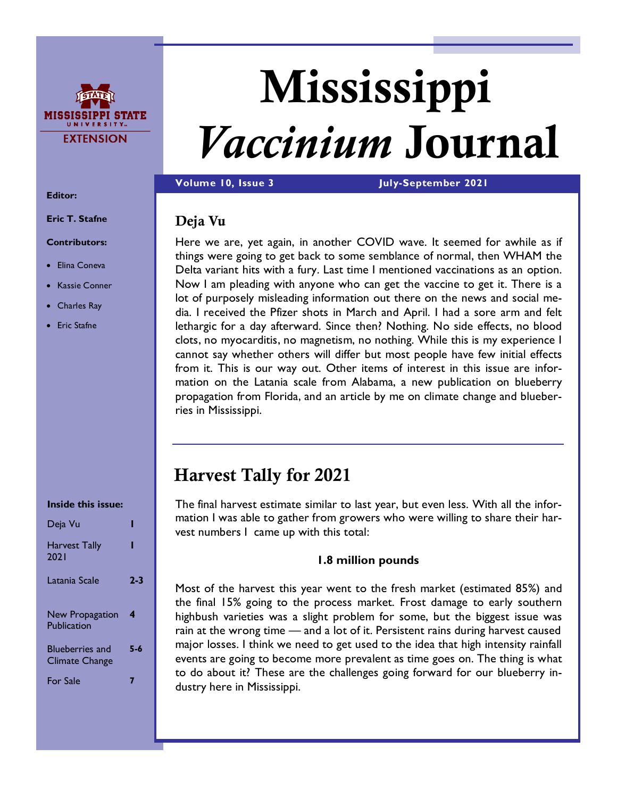

# Mississippi *Vaccinium* Journal

**Volume 10, Issue 3 July-September 2021**

## Deja Vu

Here we are, yet again, in another COVID wave. It seemed for awhile as if things were going to get back to some semblance of normal, then WHAM the Delta variant hits with a fury. Last time I mentioned vaccinations as an option. Now I am pleading with anyone who can get the vaccine to get it. There is a lot of purposely misleading information out there on the news and social media. I received the Pfizer shots in March and April. I had a sore arm and felt lethargic for a day afterward. Since then? Nothing. No side effects, no blood clots, no myocarditis, no magnetism, no nothing. While this is my experience I cannot say whether others will differ but most people have few initial effects from it. This is our way out. Other items of interest in this issue are information on the Latania scale from Alabama, a new publication on blueberry propagation from Florida, and an article by me on climate change and blueberries in Mississippi.

# Harvest Tally for 2021

The final harvest estimate similar to last year, but even less. With all the information I was able to gather from growers who were willing to share their harvest numbers I came up with this total:

#### **1.8 million pounds**

Most of the harvest this year went to the fresh market (estimated 85%) and the final 15% going to the process market. Frost damage to early southern highbush varieties was a slight problem for some, but the biggest issue was rain at the wrong time — and a lot of it. Persistent rains during harvest caused major losses. I think we need to get used to the idea that high intensity rainfall events are going to become more prevalent as time goes on. The thing is what to do about it? These are the challenges going forward for our blueberry industry here in Mississippi.

#### **Editor:**

**Eric T. Stafne**

#### **Contributors:**

- Elina Coneva
- Kassie Conner
- Charles Ray
- **Eric Stafne**

#### **Inside this issue:**

| Deja Vu                                         |     |
|-------------------------------------------------|-----|
| <b>Harvest Tally</b><br>2021                    |     |
| Latania Scale                                   | 2-3 |
| New Propagation<br>Publication                  | 4   |
| <b>Blueberries and</b><br><b>Climate Change</b> | 5-6 |
| <b>For Sale</b>                                 |     |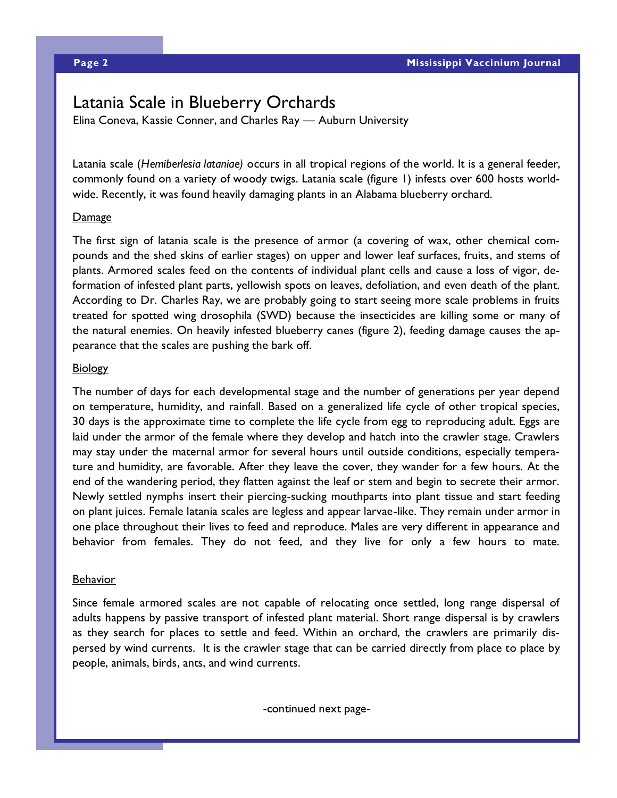## Latania Scale in Blueberry Orchards

Elina Coneva, Kassie Conner, and Charles Ray — Auburn University

Latania scale (*Hemiberlesia lataniae)* occurs in all tropical regions of the world. It is a general feeder, commonly found on a variety of woody twigs. Latania scale (figure 1) infests over 600 hosts worldwide. Recently, it was found heavily damaging plants in an Alabama blueberry orchard.

#### Damage

The first sign of latania scale is the presence of armor (a covering of wax, other chemical compounds and the shed skins of earlier stages) on upper and lower leaf surfaces, fruits, and stems of plants. Armored scales feed on the contents of individual plant cells and cause a loss of vigor, deformation of infested plant parts, yellowish spots on leaves, defoliation, and even death of the plant. According to Dr. Charles Ray, we are probably going to start seeing more scale problems in fruits treated for spotted wing drosophila (SWD) because the insecticides are killing some or many of the natural enemies. On heavily infested blueberry canes (figure 2), feeding damage causes the appearance that the scales are pushing the bark off.

#### **Biology**

The number of days for each developmental stage and the number of generations per year depend on temperature, humidity, and rainfall. Based on a generalized life cycle of other tropical species, 30 days is the approximate time to complete the life cycle from egg to reproducing adult. Eggs are laid under the armor of the female where they develop and hatch into the crawler stage. Crawlers may stay under the maternal armor for several hours until outside conditions, especially temperature and humidity, are favorable. After they leave the cover, they wander for a few hours. At the end of the wandering period, they flatten against the leaf or stem and begin to secrete their armor. Newly settled nymphs insert their piercing-sucking mouthparts into plant tissue and start feeding on plant juices. Female latania scales are legless and appear larvae-like. They remain under armor in one place throughout their lives to feed and reproduce. Males are very different in appearance and behavior from females. They do not feed, and they live for only a few hours to mate.

#### **Behavior**

Since female armored scales are not capable of relocating once settled, long range dispersal of adults happens by passive transport of infested plant material. Short range dispersal is by crawlers as they search for places to settle and feed. Within an orchard, the crawlers are primarily dispersed by wind currents. It is the crawler stage that can be carried directly from place to place by people, animals, birds, ants, and wind currents.

-continued next page-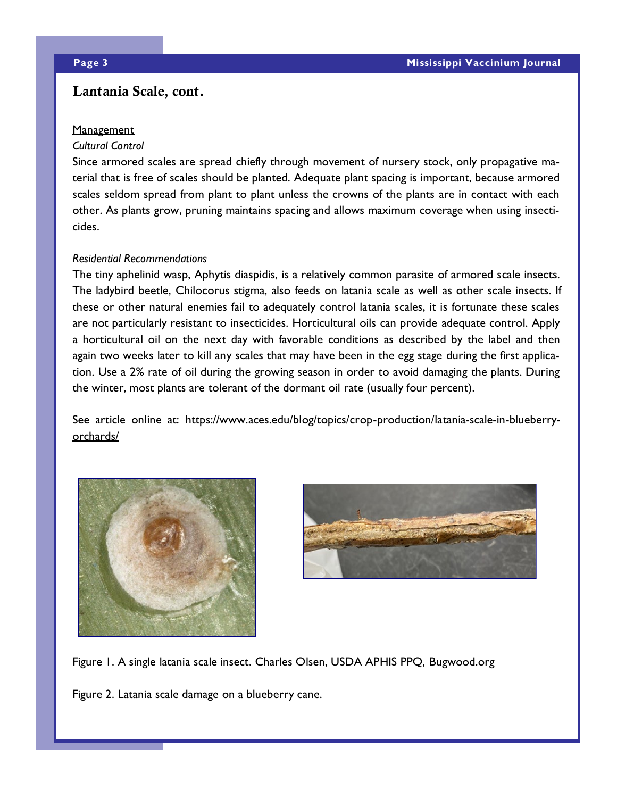### Lantania Scale, cont.

#### **Management**

#### *Cultural Control*

Since armored scales are spread chiefly through movement of nursery stock, only propagative material that is free of scales should be planted. Adequate plant spacing is important, because armored scales seldom spread from plant to plant unless the crowns of the plants are in contact with each other. As plants grow, pruning maintains spacing and allows maximum coverage when using insecticides.

#### *Residential Recommendations*

The tiny aphelinid wasp, Aphytis diaspidis, is a relatively common parasite of armored scale insects. The ladybird beetle, Chilocorus stigma, also feeds on latania scale as well as other scale insects. If these or other natural enemies fail to adequately control latania scales, it is fortunate these scales are not particularly resistant to insecticides. Horticultural oils can provide adequate control. Apply a horticultural oil on the next day with favorable conditions as described by the label and then again two weeks later to kill any scales that may have been in the egg stage during the first application. Use a 2% rate of oil during the growing season in order to avoid damaging the plants. During the winter, most plants are tolerant of the dormant oil rate (usually four percent).

See article online at: [https://www.aces.edu/blog/topics/crop-production/latania-scale-in-blueberry](https://www.aces.edu/blog/topics/crop-production/latania-scale-in-blueberry-orchards/)[orchards/](https://www.aces.edu/blog/topics/crop-production/latania-scale-in-blueberry-orchards/)





Figure 1. A single latania scale insect. Charles Olsen, USDA APHIS PPQ, <Bugwood.org>

Figure 2. Latania scale damage on a blueberry cane.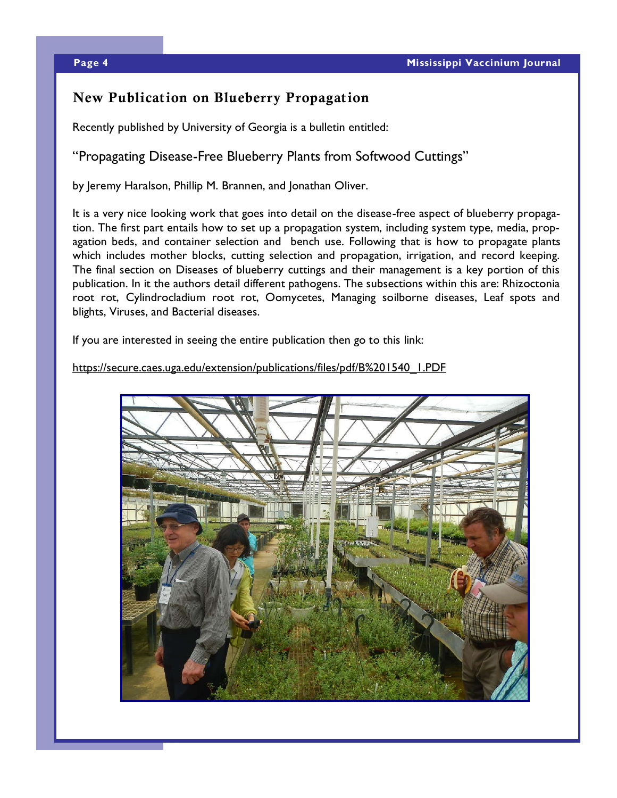## New Publication on Blueberry Propagation

Recently published by University of Georgia is a bulletin entitled:

#### "Propagating Disease-Free Blueberry Plants from Softwood Cuttings"

by Jeremy Haralson, Phillip M. Brannen, and Jonathan Oliver.

It is a very nice looking work that goes into detail on the disease-free aspect of blueberry propagation. The first part entails how to set up a propagation system, including system type, media, propagation beds, and container selection and bench use. Following that is how to propagate plants which includes mother blocks, cutting selection and propagation, irrigation, and record keeping. The final section on Diseases of blueberry cuttings and their management is a key portion of this publication. In it the authors detail different pathogens. The subsections within this are: Rhizoctonia root rot, Cylindrocladium root rot, Oomycetes, Managing soilborne diseases, Leaf spots and blights, Viruses, and Bacterial diseases.

If you are interested in seeing the entire publication then go to this link:

[https://secure.caes.uga.edu/extension/publications/files/pdf/B%201540\\_1.PDF](https://secure.caes.uga.edu/extension/publications/files/pdf/B%201540_1.PDF)

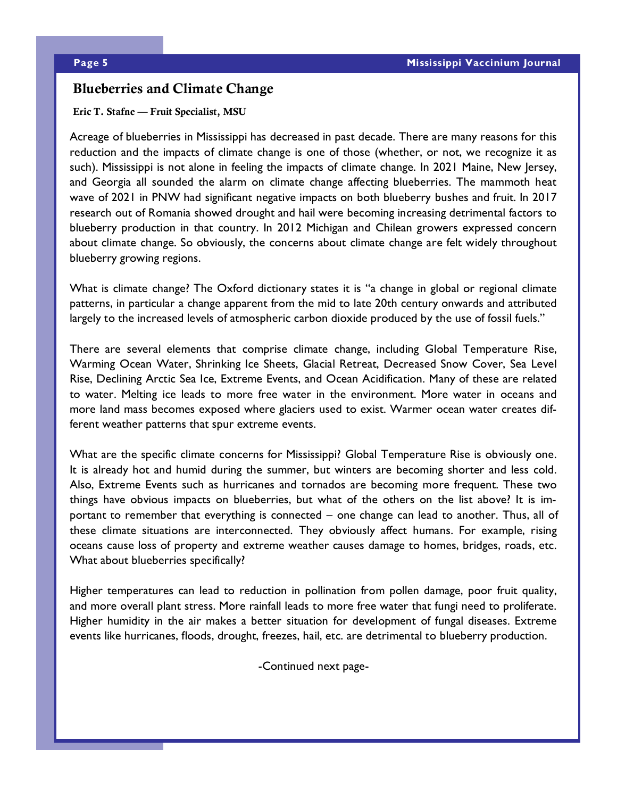#### Blueberries and Climate Change

#### Eric T. Stafne — Fruit Specialist, MSU

Acreage of blueberries in Mississippi has decreased in past decade. There are many reasons for this reduction and the impacts of climate change is one of those (whether, or not, we recognize it as such). Mississippi is not alone in feeling the impacts of climate change. In 2021 Maine, New Jersey, and Georgia all sounded the alarm on climate change affecting blueberries. The mammoth heat wave of 2021 in PNW had significant negative impacts on both blueberry bushes and fruit. In 2017 research out of Romania showed drought and hail were becoming increasing detrimental factors to blueberry production in that country. In 2012 Michigan and Chilean growers expressed concern about climate change. So obviously, the concerns about climate change are felt widely throughout blueberry growing regions.

What is climate change? The Oxford dictionary states it is "a change in global or regional climate patterns, in particular a change apparent from the mid to late 20th century onwards and attributed largely to the increased levels of atmospheric carbon dioxide produced by the use of fossil fuels."

There are several elements that comprise climate change, including Global Temperature Rise, Warming Ocean Water, Shrinking Ice Sheets, Glacial Retreat, Decreased Snow Cover, Sea Level Rise, Declining Arctic Sea Ice, Extreme Events, and Ocean Acidification. Many of these are related to water. Melting ice leads to more free water in the environment. More water in oceans and more land mass becomes exposed where glaciers used to exist. Warmer ocean water creates different weather patterns that spur extreme events.

What are the specific climate concerns for Mississippi? Global Temperature Rise is obviously one. It is already hot and humid during the summer, but winters are becoming shorter and less cold. Also, Extreme Events such as hurricanes and tornados are becoming more frequent. These two things have obvious impacts on blueberries, but what of the others on the list above? It is important to remember that everything is connected – one change can lead to another. Thus, all of these climate situations are interconnected. They obviously affect humans. For example, rising oceans cause loss of property and extreme weather causes damage to homes, bridges, roads, etc. What about blueberries specifically?

Higher temperatures can lead to reduction in pollination from pollen damage, poor fruit quality, and more overall plant stress. More rainfall leads to more free water that fungi need to proliferate. Higher humidity in the air makes a better situation for development of fungal diseases. Extreme events like hurricanes, floods, drought, freezes, hail, etc. are detrimental to blueberry production.

-Continued next page-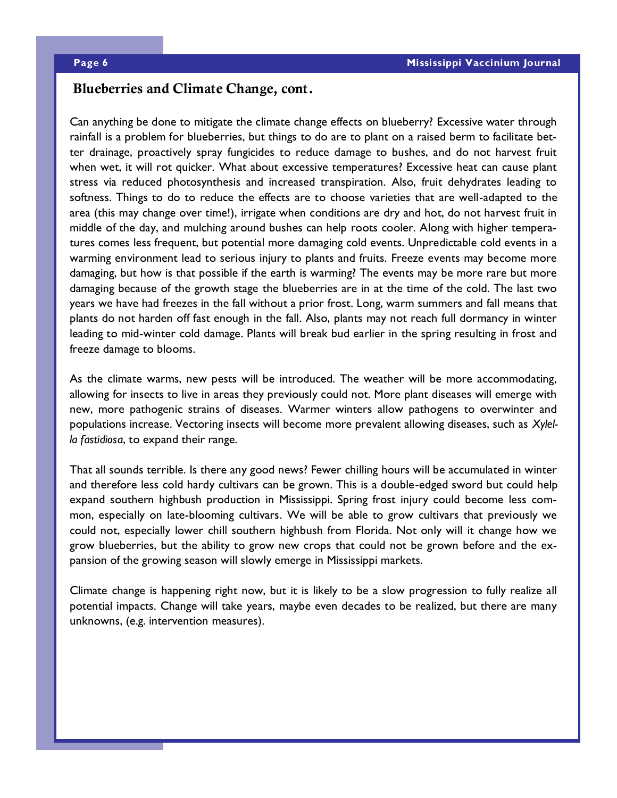#### Blueberries and Climate Change, cont.

Can anything be done to mitigate the climate change effects on blueberry? Excessive water through rainfall is a problem for blueberries, but things to do are to plant on a raised berm to facilitate better drainage, proactively spray fungicides to reduce damage to bushes, and do not harvest fruit when wet, it will rot quicker. What about excessive temperatures? Excessive heat can cause plant stress via reduced photosynthesis and increased transpiration. Also, fruit dehydrates leading to softness. Things to do to reduce the effects are to choose varieties that are well-adapted to the area (this may change over time!), irrigate when conditions are dry and hot, do not harvest fruit in middle of the day, and mulching around bushes can help roots cooler. Along with higher temperatures comes less frequent, but potential more damaging cold events. Unpredictable cold events in a warming environment lead to serious injury to plants and fruits. Freeze events may become more damaging, but how is that possible if the earth is warming? The events may be more rare but more damaging because of the growth stage the blueberries are in at the time of the cold. The last two years we have had freezes in the fall without a prior frost. Long, warm summers and fall means that plants do not harden off fast enough in the fall. Also, plants may not reach full dormancy in winter leading to mid-winter cold damage. Plants will break bud earlier in the spring resulting in frost and freeze damage to blooms.

As the climate warms, new pests will be introduced. The weather will be more accommodating, allowing for insects to live in areas they previously could not. More plant diseases will emerge with new, more pathogenic strains of diseases. Warmer winters allow pathogens to overwinter and populations increase. Vectoring insects will become more prevalent allowing diseases, such as *Xylella fastidiosa*, to expand their range.

That all sounds terrible. Is there any good news? Fewer chilling hours will be accumulated in winter and therefore less cold hardy cultivars can be grown. This is a double-edged sword but could help expand southern highbush production in Mississippi. Spring frost injury could become less common, especially on late-blooming cultivars. We will be able to grow cultivars that previously we could not, especially lower chill southern highbush from Florida. Not only will it change how we grow blueberries, but the ability to grow new crops that could not be grown before and the expansion of the growing season will slowly emerge in Mississippi markets.

Climate change is happening right now, but it is likely to be a slow progression to fully realize all potential impacts. Change will take years, maybe even decades to be realized, but there are many unknowns, (e.g. intervention measures).